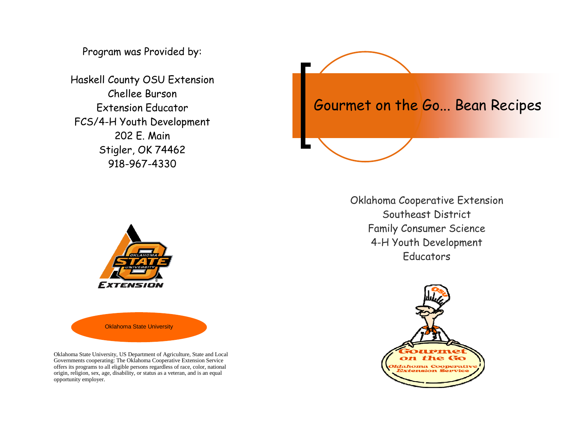Program was Provided by:

Haskell County OSU Extension Chellee Burson Extension Educator FCS/4-H Youth Development 202 E. Main Stigler, OK 74462 918-967-4330



Oklahoma Cooperative Extension Southeast District Family Consumer Science 4-H Youth Development **Educators** 





Oklahoma State University

Oklahoma State University, US Department of Agriculture, State and Local Governments cooperating: The Oklahoma Cooperative Extension Service offers its programs to all eligible persons regardless of race, color, national origin, religion, sex, age, disability, or status as a veteran, and is an equal opportunity employer.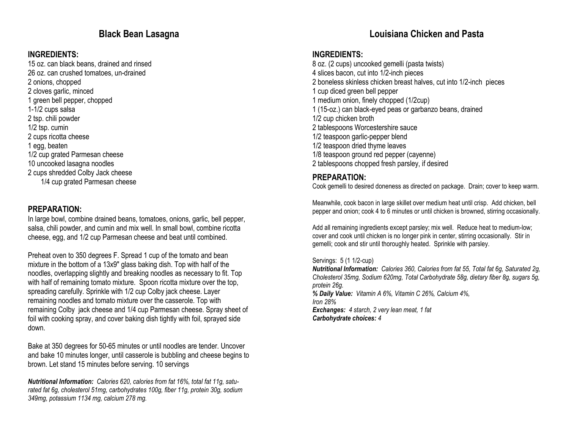# Black Bean Lasagna

#### INGREDIENTS:

 15 oz. can black beans, drained and rinsed 26 oz. can crushed tomatoes, un-drained 2 onions, chopped 2 cloves garlic, minced 1 green bell pepper, chopped 1-1/2 cups salsa 2 tsp. chili powder 1/2 tsp. cumin 2 cups ricotta cheese 1 egg, beaten 1/2 cup grated Parmesan cheese 10 uncooked lasagna noodles 2 cups shredded Colby Jack cheese 1/4 cup grated Parmesan cheese

#### PREPARATION:

 In large bowl, combine drained beans, tomatoes, onions, garlic, bell pepper, salsa, chili powder, and cumin and mix well. In small bowl, combine ricotta cheese, egg, and 1/2 cup Parmesan cheese and beat until combined.

Preheat oven to 350 degrees F. Spread 1 cup of the tomato and bean mixture in the bottom of a 13x9" glass baking dish. Top with half of the noodles, overlapping slightly and breaking noodles as necessary to fit. Top with half of remaining tomato mixture. Spoon ricotta mixture over the top, spreading carefully. Sprinkle with 1/2 cup Colby jack cheese. Layer remaining noodles and tomato mixture over the casserole. Top with remaining Colby jack cheese and 1/4 cup Parmesan cheese. Spray sheet of foil with cooking spray, and cover baking dish tightly with foil, sprayed side down.

Bake at 350 degrees for 50-65 minutes or until noodles are tender. Uncover and bake 10 minutes longer, until casserole is bubbling and cheese begins to brown. Let stand 15 minutes before serving. 10 servings

Nutritional Information: Calories 620, calories from fat 16%, total fat 11g, saturated fat 6g, cholesterol 51mg, carbohydrates 100g, fiber 11g, protein 30g, sodium 349mg, potassium 1134 mg, calcium 278 mg.

# Louisiana Chicken and Pasta

#### INGREDIENTS:

 8 oz. (2 cups) uncooked gemelli (pasta twists) 4 slices bacon, cut into 1/2-inch pieces 2 boneless skinless chicken breast halves, cut into 1/2-inch pieces 1 cup diced green bell pepper 1 medium onion, finely chopped (1/2cup) 1 (15-oz.) can black-eyed peas or garbanzo beans, drained 1/2 cup chicken broth 2 tablespoons Worcestershire sauce 1/2 teaspoon garlic-pepper blend 1/2 teaspoon dried thyme leaves 1/8 teaspoon ground red pepper (cayenne) 2 tablespoons chopped fresh parsley, if desired

### PREPARATION:

Cook gemelli to desired doneness as directed on package. Drain; cover to keep warm.

Meanwhile, cook bacon in large skillet over medium heat until crisp. Add chicken, bell pepper and onion; cook 4 to 6 minutes or until chicken is browned, stirring occasionally.

Add all remaining ingredients except parsley; mix well. Reduce heat to medium-low; cover and cook until chicken is no longer pink in center, stirring occasionally. Stir in gemelli; cook and stir until thoroughly heated. Sprinkle with parsley.

Servings: 5 (1 1/2-cup)

Nutritional Information: Calories 360, Calories from fat 55, Total fat 6g, Saturated 2g, Cholesterol 35mg, Sodium 620mg, Total Carbohydrate 58g, dietary fiber 8g, sugars 5g, protein 26g. % Daily Value: Vitamin A 6%, Vitamin C 26%, Calcium 4%, Iron 28% Exchanges: 4 starch, 2 very lean meat, 1 fat

Carbohydrate choices: 4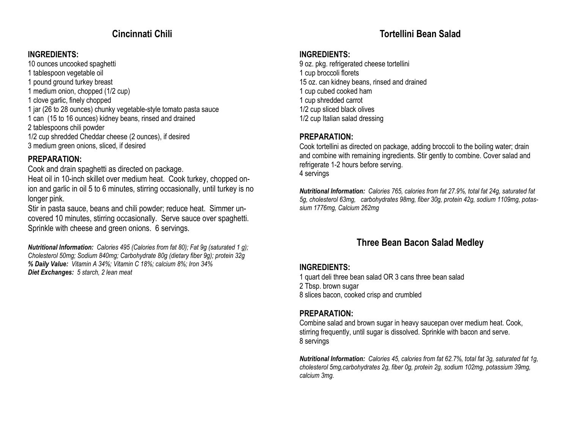# Cincinnati Chili

## INGREDIENTS:

 10 ounces uncooked spaghetti 1 tablespoon vegetable oil 1 pound ground turkey breast 1 medium onion, chopped (1/2 cup) 1 clove garlic, finely chopped 1 jar (26 to 28 ounces) chunky vegetable-style tomato pasta sauce 1 can (15 to 16 ounces) kidney beans, rinsed and drained 2 tablespoons chili powder 1/2 cup shredded Cheddar cheese (2 ounces), if desired 3 medium green onions, sliced, if desired

### PREPARATION:

Cook and drain spaghetti as directed on package.

 Heat oil in 10-inch skillet over medium heat. Cook turkey, chopped onion and garlic in oil 5 to 6 minutes, stirring occasionally, until turkey is no longer pink.

 Stir in pasta sauce, beans and chili powder; reduce heat. Simmer uncovered 10 minutes, stirring occasionally. Serve sauce over spaghetti. Sprinkle with cheese and green onions. 6 servings.

**Nutritional Information:** Calories 495 (Calories from fat 80); Fat 9g (saturated 1 g); Cholesterol 50mg; Sodium 840mg; Carbohydrate 80g (dietary fiber 9g); protein 32g % Daily Value: Vitamin A 34%; Vitamin C 18%; calcium 8%; Iron 34% Diet Exchanges: 5 starch, 2 lean meat

# Tortellini Bean Salad

### INGREDIENTS:

9 oz. pkg. refrigerated cheese tortellini 1 cup broccoli florets 15 oz. can kidney beans, rinsed and drained 1 cup cubed cooked ham 1 cup shredded carrot 1/2 cup sliced black olives 1/2 cup Italian salad dressing

## PREPARATION:

 Cook tortellini as directed on package, adding broccoli to the boiling water; drain and combine with remaining ingredients. Stir gently to combine. Cover salad and refrigerate 1-2 hours before serving. 4 servings

Nutritional Information: Calories 765, calories from fat 27.9%, total fat 24g, saturated fat 5g, cholesterol 63mg, carbohydrates 98mg, fiber 30g, protein 42g, sodium 1109mg, potassium 1776mg, Calcium 262mg

# Three Bean Bacon Salad Medley

## INGREDIENTS:

1 quart deli three bean salad OR 3 cans three bean salad

2 Tbsp. brown sugar

8 slices bacon, cooked crisp and crumbled

# PREPARATION:

Combine salad and brown sugar in heavy saucepan over medium heat. Cook, stirring frequently, until sugar is dissolved. Sprinkle with bacon and serve. 8 servings

Nutritional Information: Calories 45, calories from fat 62.7%, total fat 3g, saturated fat 1g, cholesterol 5mg,carbohydrates 2g, fiber 0g, protein 2g, sodium 102mg, potassium 39mg, calcium 3mg.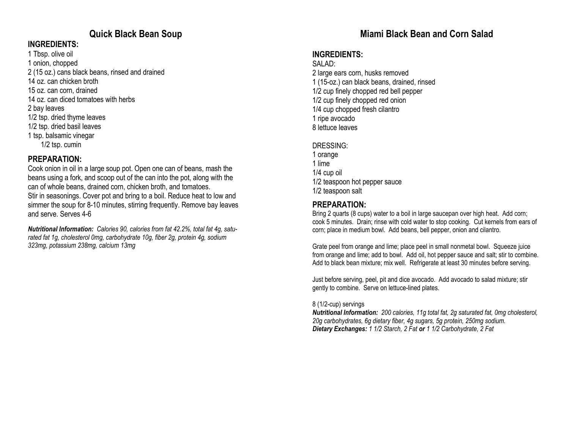# Quick Black Bean Soup

### INGREDIENTS:

1 Tbsp. olive oil 1 onion, chopped 2 (15 oz.) cans black beans, rinsed and drained 14 oz. can chicken broth 15 oz. can corn, drained 14 oz. can diced tomatoes with herbs 2 bay leaves 1/2 tsp. dried thyme leaves 1/2 tsp. dried basil leaves 1 tsp. balsamic vinegar 1/2 tsp. cumin

#### PREPARATION:

 Cook onion in oil in a large soup pot. Open one can of beans, mash the beans using a fork, and scoop out of the can into the pot, along with the can of whole beans, drained corn, chicken broth, and tomatoes. Stir in seasonings. Cover pot and bring to a boil. Reduce heat to low and simmer the soup for 8-10 minutes, stirring frequently. Remove bay leaves and serve. Serves 4-6

Nutritional Information: Calories 90, calories from fat 42.2%, total fat 4g, saturated fat 1g, cholesterol 0mg, carbohydrate 10g, fiber 2g, protein 4g, sodium 323mg, potassium 238mg, calcium 13mg

# Miami Black Bean and Corn Salad

## INGREDIENTS:

#### SALAD:

 2 large ears corn, husks removed 1 (15-oz.) can black beans, drained, rinsed 1/2 cup finely chopped red bell pepper 1/2 cup finely chopped red onion 1/4 cup chopped fresh cilantro 1 ripe avocado 8 lettuce leaves

#### DRESSING:

1 orange 1 lime 1/4 cup oil 1/2 teaspoon hot pepper sauce 1/2 teaspoon salt

### PREPARATION:

 Bring 2 quarts (8 cups) water to a boil in large saucepan over high heat. Add corn; cook 5 minutes. Drain; rinse with cold water to stop cooking. Cut kernels from ears of corn; place in medium bowl. Add beans, bell pepper, onion and cilantro.

Grate peel from orange and lime; place peel in small nonmetal bowl. Squeeze juice from orange and lime; add to bowl. Add oil, hot pepper sauce and salt; stir to combine. Add to black bean mixture; mix well. Refrigerate at least 30 minutes before serving.

Just before serving, peel, pit and dice avocado. Add avocado to salad mixture; stir gently to combine. Serve on lettuce-lined plates.

#### 8 (1/2-cup) servings

Nutritional Information: 200 calories, 11g total fat, 2g saturated fat, 0mg cholesterol, 20g carbohydrates, 6g dietary fiber, 4g sugars, 5g protein, 250mg sodium. Dietary Exchanges: 1 1/2 Starch, 2 Fat or 1 1/2 Carbohydrate, 2 Fat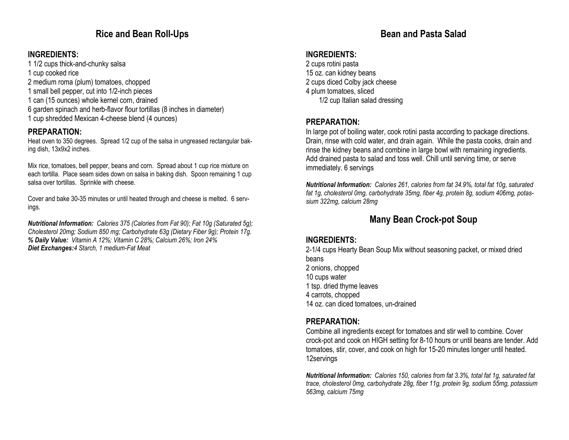# Rice and Bean Roll-Ups

## INGREDIENTS:

- 1 1/2 cups thick-and-chunky salsa
- 1 cup cooked rice
- 2 medium roma (plum) tomatoes, chopped
- 1 small bell pepper, cut into 1/2-inch pieces
- 1 can (15 ounces) whole kernel corn, drained
- 6 garden spinach and herb-flavor flour tortillas (8 inches in diameter)
- 1 cup shredded Mexican 4-cheese blend (4 ounces)

## PREPARATION:

 Heat oven to 350 degrees. Spread 1/2 cup of the salsa in ungreased rectangular baking dish, 13x9x2 inches.

Mix rice, tomatoes, bell pepper, beans and corn. Spread about 1 cup rice mixture on each tortilla. Place seam sides down on salsa in baking dish. Spoon remaining 1 cup salsa over tortillas. Sprinkle with cheese.

Cover and bake 30-35 minutes or until heated through and cheese is melted. 6 servings.

Nutritional Information: Calories 375 (Calories from Fat 90); Fat 10g (Saturated 5g); Cholesterol 20mg; Sodium 850 mg; Carbohydrate 63g (Dietary Fiber 9g); Protein 17g. % Daily Value: Vitamin A 12%; Vitamin C 28%; Calcium 26%; Iron 24%Diet Exchanges: 4 Starch, 1 medium-Fat Meat

# Bean and Pasta Salad

# INGREDIENTS:

 2 cups rotini pasta 15 oz. can kidney beans 2 cups diced Colby jack cheese 4 plum tomatoes, sliced 1/2 cup Italian salad dressing

## PREPARATION:

 In large pot of boiling water, cook rotini pasta according to package directions. Drain, rinse with cold water, and drain again. While the pasta cooks, drain and rinse the kidney beans and combine in large bowl with remaining ingredients. Add drained pasta to salad and toss well. Chill until serving time, or serve immediately. 6 servings

Nutritional Information: Calories 261, calories from fat 34.9%, total fat 10g, saturated fat 1g, cholesterol 0mg, carbohydrate 35mg, fiber 4g, protein 8g, sodium 406mg, potassium 322mg, calcium 28mg

# Many Bean Crock-pot Soup

## INGREDIENTS:

 2-1/4 cups Hearty Bean Soup Mix without seasoning packet, or mixed dried beans 2 onions, chopped 10 cups water 1 tsp. dried thyme leaves 4 carrots, chopped 14 oz. can diced tomatoes, un-drained

## PREPARATION:

 Combine all ingredients except for tomatoes and stir well to combine. Cover crock-pot and cook on HIGH setting for 8-10 hours or until beans are tender. Add tomatoes, stir, cover, and cook on high for 15-20 minutes longer until heated. 12servings

Nutritional Information: Calories 150, calories from fat 3.3%, total fat 1g, saturated fat trace, cholesterol 0mg, carbohydrate 28g, fiber 11g, protein 9g, sodium 55mg, potassium 563mg, calcium 75mg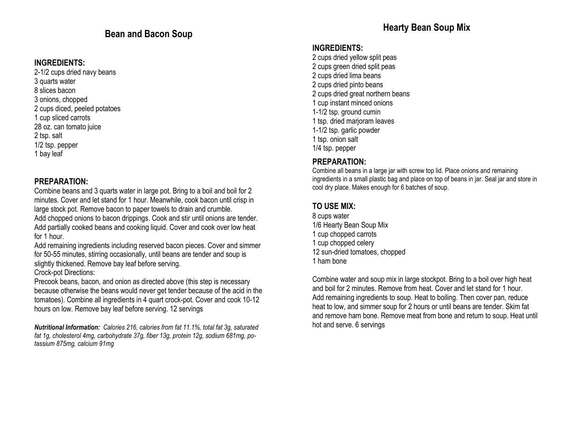#### INGREDIENTS:

 2-1/2 cups dried navy beans 3 quarts water 8 slices bacon 3 onions, chopped 2 cups diced, peeled potatoes 1 cup sliced carrots 28 oz. can tomato juice 2 tsp. salt 1/2 tsp. pepper 1 bay leaf

#### PREPARATION:

 Combine beans and 3 quarts water in large pot. Bring to a boil and boil for 2 minutes. Cover and let stand for 1 hour. Meanwhile, cook bacon until crisp in large stock pot. Remove bacon to paper towels to drain and crumble.

 Add chopped onions to bacon drippings. Cook and stir until onions are tender. Add partially cooked beans and cooking liquid. Cover and cook over low heat for 1 hour.

 Add remaining ingredients including reserved bacon pieces. Cover and simmer for 50-55 minutes, stirring occasionally, until beans are tender and soup is slightly thickened. Remove bay leaf before serving.

Crock-pot Directions:

Precook beans, bacon, and onion as directed above (this step is necessary because otherwise the beans would never get tender because of the acid in the tomatoes). Combine all ingredients in 4 quart crock-pot. Cover and cook 10-12 hours on low. Remove bay leaf before serving. 12 servings

Nutritional Information: Calories 216, calories from fat 11.1%, total fat 3g, saturated fat 1g, cholesterol 4mg, carbohydrate 37g, fiber 13g, protein 12g, sodium 681mg, potassium 875mg, calcium 91mg

#### INGREDIENTS:

2 cups dried yellow split peas 2 cups green dried split peas 2 cups dried lima beans 2 cups dried pinto beans 2 cups dried great northern beans 1 cup instant minced onions 1-1/2 tsp. ground cumin 1 tsp. dried marjoram leaves 1-1/2 tsp. garlic powder 1 tsp. onion salt 1/4 tsp. pepper

### PREPARATION:

 Combine all beans in a large jar with screw top lid. Place onions and remaining ingredients in a small plastic bag and place on top of beans in jar. Seal jar and store in cool dry place. Makes enough for 6 batches of soup.

## TO USE MIX:

8 cups water 1/6 Hearty Bean Soup Mix 1 cup chopped carrots 1 cup chopped celery 12 sun-dried tomatoes, chopped 1 ham bone

Combine water and soup mix in large stockpot. Bring to a boil over high heat and boil for 2 minutes. Remove from heat. Cover and let stand for 1 hour. Add remaining ingredients to soup. Heat to boiling. Then cover pan, reduce heat to low, and simmer soup for 2 hours or until beans are tender. Skim fat and remove ham bone. Remove meat from bone and return to soup. Heat until hot and serve. 6 servings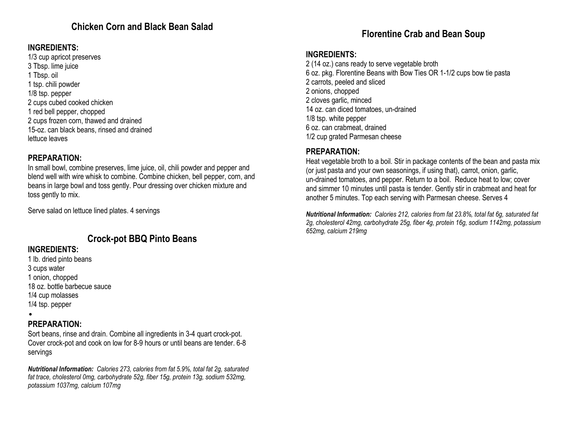# Chicken Corn and Black Bean Salad

## INGREDIENTS:

1/3 cup apricot preserves 3 Tbsp. lime juice 1 Tbsp. oil 1 tsp. chili powder 1/8 tsp. pepper 2 cups cubed cooked chicken 1 red bell pepper, chopped 2 cups frozen corn, thawed and drained 15-oz. can black beans, rinsed and drained lettuce leaves

### PREPARATION:

 In small bowl, combine preserves, lime juice, oil, chili powder and pepper and blend well with wire whisk to combine. Combine chicken, bell pepper, corn, and beans in large bowl and toss gently. Pour dressing over chicken mixture and toss gently to mix.

Serve salad on lettuce lined plates. 4 servings

# Crock-pot BBQ Pinto Beans

## INGREDIENTS:

- 1 lb. dried pinto beans 3 cups water 1 onion, chopped 18 oz. bottle barbecue sauce 1/4 cup molasses 1/4 tsp. pepper
- •

## PREPARATION:

 Sort beans, rinse and drain. Combine all ingredients in 3-4 quart crock-pot. Cover crock-pot and cook on low for 8-9 hours or until beans are tender. 6-8 servings

Nutritional Information: Calories 273, calories from fat 5.9%, total fat 2g, saturated fat trace, cholesterol 0mg, carbohydrate 52g, fiber 15g, protein 13g, sodium 532mg, potassium 1037mg, calcium 107mg

# Florentine Crab and Bean Soup

#### INGREDIENTS:

 2 (14 oz.) cans ready to serve vegetable broth 6 oz. pkg. Florentine Beans with Bow Ties OR 1-1/2 cups bow tie pasta 2 carrots, peeled and sliced 2 onions, chopped 2 cloves garlic, minced 14 oz. can diced tomatoes, un-drained 1/8 tsp. white pepper 6 oz. can crabmeat, drained 1/2 cup grated Parmesan cheese

### PREPARATION:

 Heat vegetable broth to a boil. Stir in package contents of the bean and pasta mix (or just pasta and your own seasonings, if using that), carrot, onion, garlic, un-drained tomatoes, and pepper. Return to a boil. Reduce heat to low; cover and simmer 10 minutes until pasta is tender. Gently stir in crabmeat and heat for another 5 minutes. Top each serving with Parmesan cheese. Serves 4

Nutritional Information: Calories 212, calories from fat 23.8%, total fat 6g, saturated fat 2g, cholesterol 42mg, carbohydrate 25g, fiber 4g, protein 16g, sodium 1142mg, potassium 652mg, calcium 219mg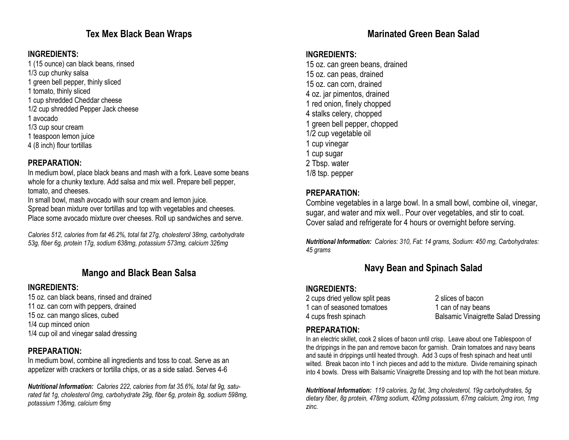# Tex Mex Black Bean Wraps

## INGREDIENTS:

1 (15 ounce) can black beans, rinsed

1/3 cup chunky salsa

1 green bell pepper, thinly sliced

- 1 tomato, thinly sliced
- 1 cup shredded Cheddar cheese
- 1/2 cup shredded Pepper Jack cheese
- 1 avocado
- 1/3 cup sour cream
- 1 teaspoon lemon juice
- 4 (8 inch) flour tortillas

# PREPARATION:

 In medium bowl, place black beans and mash with a fork. Leave some beans whole for a chunky texture. Add salsa and mix well. Prepare bell pepper, tomato, and cheeses.

In small bowl, mash avocado with sour cream and lemon juice.

 Spread bean mixture over tortillas and top with vegetables and cheeses. Place some avocado mixture over cheeses. Roll up sandwiches and serve.

Calories 512, calories from fat 46.2%, total fat 27g, cholesterol 38mg, carbohydrate 53g, fiber 6g, protein 17g, sodium 638mg, potassium 573mg, calcium 326mg

# Mango and Black Bean Salsa

# INGREDIENTS:

 15 oz. can black beans, rinsed and drained 11 oz. can corn with peppers, drained 15 oz. can mango slices, cubed 1/4 cup minced onion 1/4 cup oil and vinegar salad dressing

# PREPARATION:

 In medium bowl, combine all ingredients and toss to coat. Serve as an appetizer with crackers or tortilla chips, or as a side salad. Serves 4-6

Nutritional Information: Calories 222, calories from fat 35.6%, total fat 9g, saturated fat 1g, cholesterol 0mg, carbohydrate 29g, fiber 6g, protein 8g, sodium 598mg, potassium 136mg, calcium 6mg

# Marinated Green Bean Salad

## INGREDIENTS:

15 oz. can green beans, drained 15 oz. can peas, drained 15 oz. can corn, drained 4 oz. jar pimentos, drained 1 red onion, finely chopped 4 stalks celery, chopped 1 green bell pepper, chopped 1/2 cup vegetable oil 1 cup vinegar 1 cup sugar 2 Tbsp. water 1/8 tsp. pepper

## PREPARATION:

 Combine vegetables in a large bowl. In a small bowl, combine oil, vinegar, sugar, and water and mix well.. Pour over vegetables, and stir to coat. Cover salad and refrigerate for 4 hours or overnight before serving.

Nutritional Information: Calories: 310, Fat: 14 grams, Sodium: 450 mg, Carbohydrates: 45 grams

# Navy Bean and Spinach Salad

# INGREDIENTS:

2 cups dried yellow split peas 2 slices of bacon 1 can of seasoned tomatoes 1 can of nay beans

4 cups fresh spinach **Balsamic Vinaigrette Salad Dressing** 

# PREPARATION:

 In an electric skillet, cook 2 slices of bacon until crisp. Leave about one Tablespoon of the drippings in the pan and remove bacon for garnish. Drain tomatoes and navy beans and sauté in drippings until heated through. Add 3 cups of fresh spinach and heat until wilted. Break bacon into 1 inch pieces and add to the mixture. Divide remaining spinach into 4 bowls. Dress with Balsamic Vinaigrette Dressing and top with the hot bean mixture.

Nutritional Information: 119 calories, 2g fat, 3mg cholesterol, 19g carbohydrates, 5g dietary fiber, 8g protein, 478mg sodium, 420mg potassium, 67mg calcium, 2mg iron, 1mg zinc.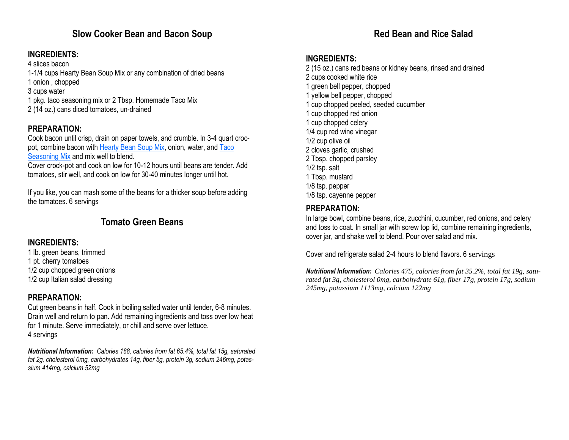# Slow Cooker Bean and Bacon Soup

### INGREDIENTS:

4 slices bacon

- 1-1/4 cups Hearty Bean Soup Mix or any combination of dried beans
- 1 onion , chopped
- 3 cups water
- 1 pkg. taco seasoning mix or 2 Tbsp. Homemade Taco Mix
- 2 (14 oz.) cans diced tomatoes, un-drained

# PREPARATION:

 Cook bacon until crisp, drain on paper towels, and crumble. In 3-4 quart crocpot, combine bacon with **Hearty Bean Soup Mix**, onion, water, and Taco Seasoning Mix and mix well to blend.

 Cover crock-pot and cook on low for 10-12 hours until beans are tender. Add tomatoes, stir well, and cook on low for 30-40 minutes longer until hot.

If you like, you can mash some of the beans for a thicker soup before adding the tomatoes. 6 servings

# Tomato Green Beans

## INGREDIENTS:

 1 lb. green beans, trimmed 1 pt. cherry tomatoes 1/2 cup chopped green onions 1/2 cup Italian salad dressing

## PREPARATION:

 Cut green beans in half. Cook in boiling salted water until tender, 6-8 minutes. Drain well and return to pan. Add remaining ingredients and toss over low heat for 1 minute. Serve immediately, or chill and serve over lettuce. 4 servings

Nutritional Information: Calories 188, calories from fat 65.4%, total fat 15g, saturated fat 2g, cholesterol 0mg, carbohydrates 14g, fiber 5g, protein 3g, sodium 246mg, potassium 414mg, calcium 52mg

# Red Bean and Rice Salad

### INGREDIENTS:

- 2 (15 oz.) cans red beans or kidney beans, rinsed and drained
- 2 cups cooked white rice 1 green bell pepper, chopped 1 yellow bell pepper, chopped 1 cup chopped peeled, seeded cucumber 1 cup chopped red onion 1 cup chopped celery 1/4 cup red wine vinegar 1/2 cup olive oil 2 cloves garlic, crushed 2 Tbsp. chopped parsley 1/2 tsp. salt 1 Tbsp. mustard 1/8 tsp. pepper 1/8 tsp. cayenne pepper

# PREPARATION:

 In large bowl, combine beans, rice, zucchini, cucumber, red onions, and celery and toss to coat. In small jar with screw top lid, combine remaining ingredients, cover jar, and shake well to blend. Pour over salad and mix.

Cover and refrigerate salad 2-4 hours to blend flavors. 6 servings

Nutritional Information: *Calories 475, calories from fat 35.2%, total fat 19g, saturated fat 3g, cholesterol 0mg, carbohydrate 61g, fiber 17g, protein 17g, sodium 245mg, potassium 1113mg, calcium 122mg*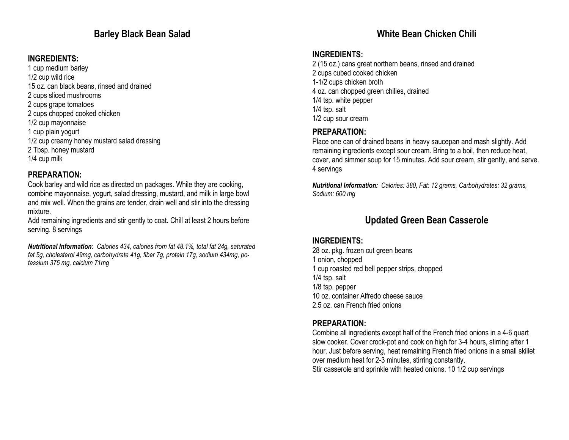# Barley Black Bean Salad

## INGREDIENTS:

- 1 cup medium barley 1/2 cup wild rice 15 oz. can black beans, rinsed and drained 2 cups sliced mushrooms 2 cups grape tomatoes 2 cups chopped cooked chicken 1/2 cup mayonnaise 1 cup plain yogurt 1/2 cup creamy honey mustard salad dressing 2 Tbsp. honey mustard
- 1/4 cup milk

### PREPARATION:

 Cook barley and wild rice as directed on packages. While they are cooking, combine mayonnaise, yogurt, salad dressing, mustard, and milk in large bowl and mix well. When the grains are tender, drain well and stir into the dressing mixture.

 Add remaining ingredients and stir gently to coat. Chill at least 2 hours before serving. 8 servings

Nutritional Information: Calories 434, calories from fat 48.1%, total fat 24g, saturated fat 5g, cholesterol 49mg, carbohydrate 41g, fiber 7g, protein 17g, sodium 434mg, potassium 375 mg, calcium 71mg

# White Bean Chicken Chili

#### INGREDIENTS:

 2 (15 oz.) cans great northern beans, rinsed and drained 2 cups cubed cooked chicken 1-1/2 cups chicken broth 4 oz. can chopped green chilies, drained 1/4 tsp. white pepper 1/4 tsp. salt 1/2 cup sour cream

#### PREPARATION:

 Place one can of drained beans in heavy saucepan and mash slightly. Add remaining ingredients except sour cream. Bring to a boil, then reduce heat, cover, and simmer soup for 15 minutes. Add sour cream, stir gently, and serve. 4 servings

Nutritional Information: Calories: 380, Fat: 12 grams, Carbohydrates: 32 grams, Sodium: 600 mg

# Updated Green Bean Casserole

#### INGREDIENTS:

 28 oz. pkg. frozen cut green beans 1 onion, chopped 1 cup roasted red bell pepper strips, chopped 1/4 tsp. salt 1/8 tsp. pepper 10 oz. container Alfredo cheese sauce 2.5 oz. can French fried onions

### PREPARATION:

 Combine all ingredients except half of the French fried onions in a 4-6 quart slow cooker. Cover crock-pot and cook on high for 3-4 hours, stirring after 1 hour. Just before serving, heat remaining French fried onions in a small skillet over medium heat for 2-3 minutes, stirring constantly. Stir casserole and sprinkle with heated onions. 10 1/2 cup servings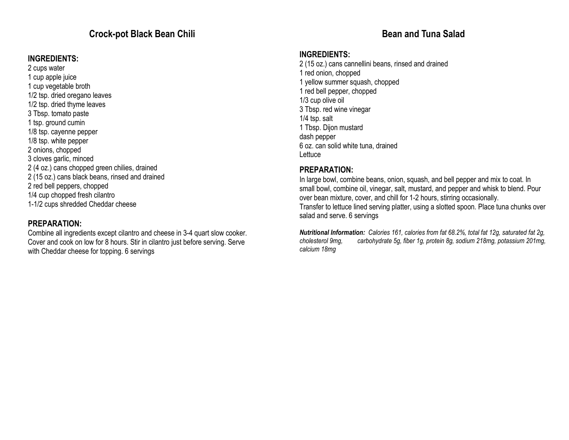# Crock-pot Black Bean Chili

#### INGREDIENTS:

2 cups water 1 cup apple juice 1 cup vegetable broth 1/2 tsp. dried oregano leaves 1/2 tsp. dried thyme leaves 3 Tbsp. tomato paste 1 tsp. ground cumin 1/8 tsp. cayenne pepper 1/8 tsp. white pepper 2 onions, chopped 3 cloves garlic, minced 2 (4 oz.) cans chopped green chilies, drained 2 (15 oz.) cans black beans, rinsed and drained 2 red bell peppers, chopped 1/4 cup chopped fresh cilantro 1-1/2 cups shredded Cheddar cheese

#### PREPARATION:

 Combine all ingredients except cilantro and cheese in 3-4 quart slow cooker. Cover and cook on low for 8 hours. Stir in cilantro just before serving. Serve with Cheddar cheese for topping. 6 servings

# Bean and Tuna Salad

#### INGREDIENTS:

 2 (15 oz.) cans cannellini beans, rinsed and drained 1 red onion, chopped 1 yellow summer squash, chopped 1 red bell pepper, chopped 1/3 cup olive oil 3 Tbsp. red wine vinegar 1/4 tsp. salt 1 Tbsp. Dijon mustard dash pepper 6 oz. can solid white tuna, drained Lettuce

#### PREPARATION:

 In large bowl, combine beans, onion, squash, and bell pepper and mix to coat. In small bowl, combine oil, vinegar, salt, mustard, and pepper and whisk to blend. Pour over bean mixture, cover, and chill for 1-2 hours, stirring occasionally.

 Transfer to lettuce lined serving platter, using a slotted spoon. Place tuna chunks over salad and serve. 6 servings

Nutritional Information: Calories 161, calories from fat 68.2%, total fat 12g, saturated fat 2g, cholesterol 9mg, carbohydrate 5g, fiber 1g, protein 8g, sodium 218mg, potassium 201mg, calcium 18mg